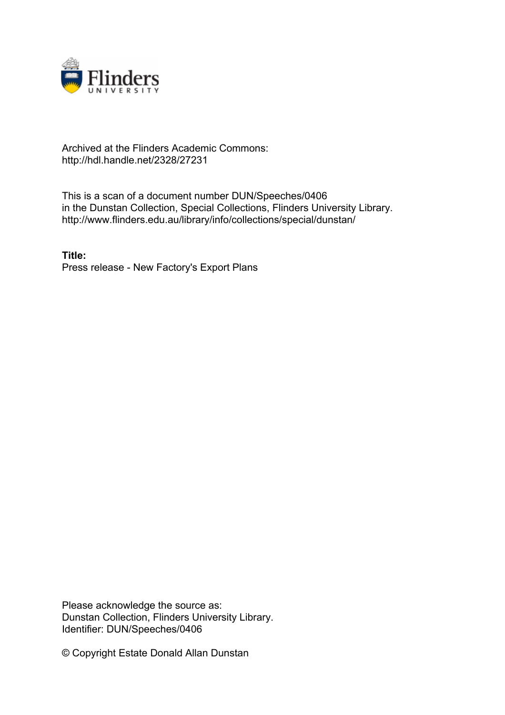

## Archived at the Flinders Academic Commons: http://hdl.handle.net/2328/27231

This is a scan of a document number DUN/Speeches/0406 in the Dunstan Collection, Special Collections, Flinders University Library. http://www.flinders.edu.au/library/info/collections/special/dunstan/

**Title:** Press release - New Factory's Export Plans

Please acknowledge the source as: Dunstan Collection, Flinders University Library. Identifier: DUN/Speeches/0406

© Copyright Estate Donald Allan Dunstan